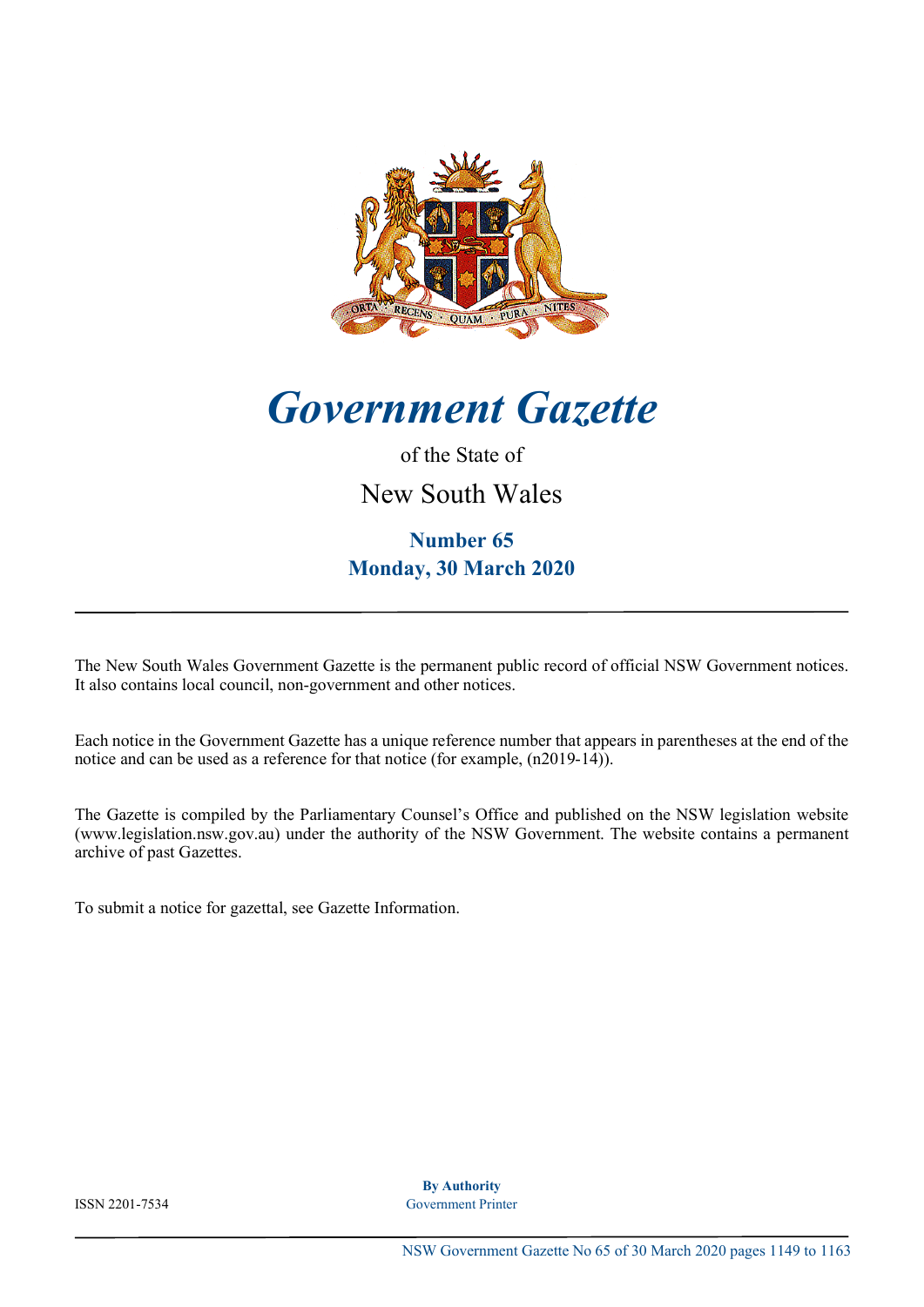

*Government Gazette*

### of the State of

New South Wales

## **Number 65 Monday, 30 March 2020**

The New South Wales Government Gazette is the permanent public record of official NSW Government notices. It also contains local council, non-government and other notices.

Each notice in the Government Gazette has a unique reference number that appears in parentheses at the end of the notice and can be used as a reference for that notice (for example,  $(n2019-14)$ ).

The Gazette is compiled by the Parliamentary Counsel's Office and published on the NSW legislation website [\(www.legislation.nsw.gov.au\) under the authority of the NSW Government. The website contains a permanent](http://www.legislation.nsw.gov.au) archive of past Gazettes.

To submit a notice for gazettal, see [Gazette Information.](http://www.legislation.nsw.gov.au/#/help/notifications)

**By Authority** ISSN 2201-7534 Government Printer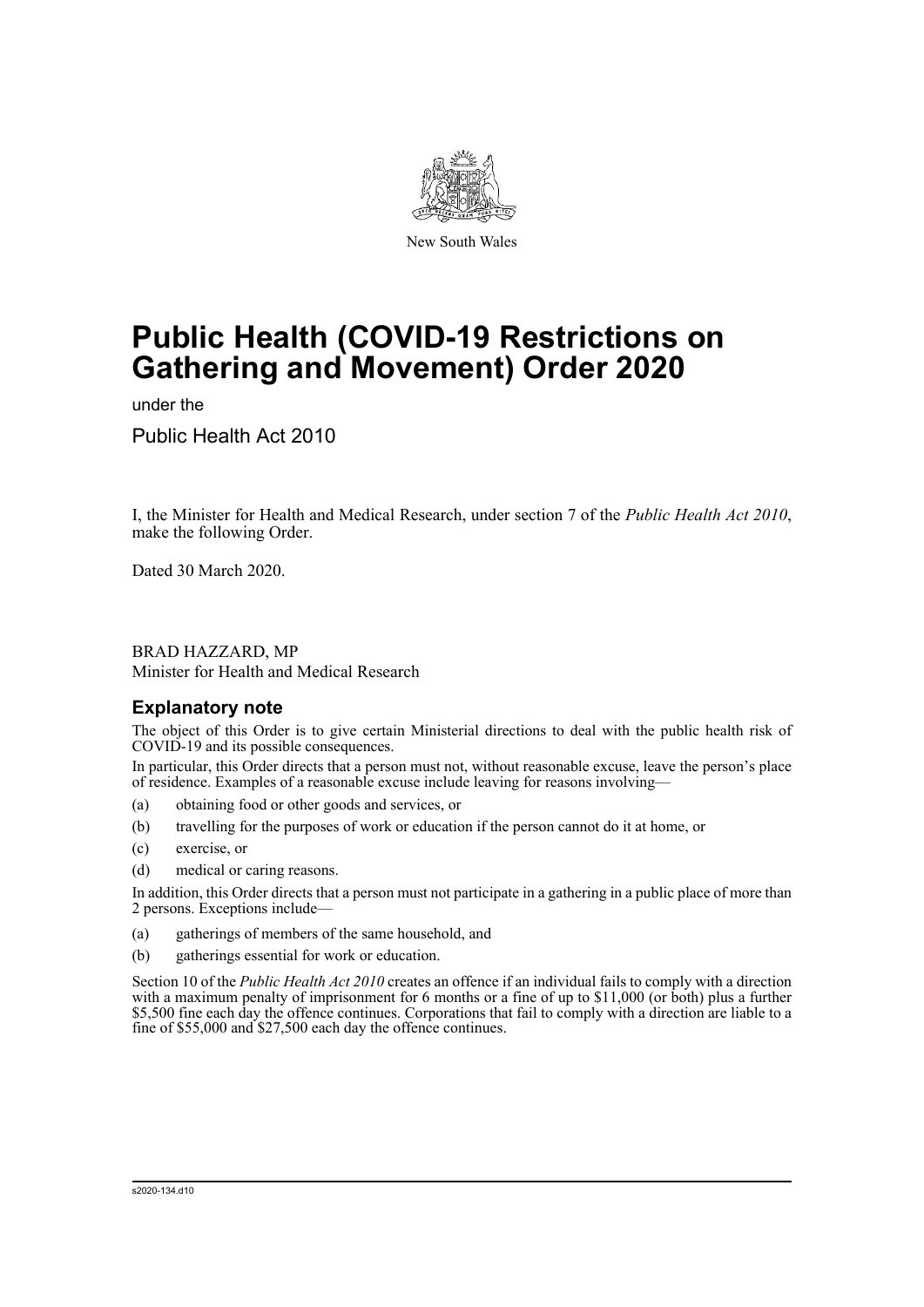

New South Wales

# **Public Health (COVID-19 Restrictions on Gathering and Movement) Order 2020**

under the

Public Health Act 2010

I, the Minister for Health and Medical Research, under section 7 of the *Public Health Act 2010*, make the following Order.

Dated 30 March 2020.

BRAD HAZZARD, MP Minister for Health and Medical Research

#### **Explanatory note**

The object of this Order is to give certain Ministerial directions to deal with the public health risk of COVID-19 and its possible consequences.

In particular, this Order directs that a person must not, without reasonable excuse, leave the person's place of residence. Examples of a reasonable excuse include leaving for reasons involving—

- (a) obtaining food or other goods and services, or
- (b) travelling for the purposes of work or education if the person cannot do it at home, or
- (c) exercise, or
- (d) medical or caring reasons.

In addition, this Order directs that a person must not participate in a gathering in a public place of more than 2 persons. Exceptions include—

- (a) gatherings of members of the same household, and
- (b) gatherings essential for work or education.

Section 10 of the *Public Health Act 2010* creates an offence if an individual fails to comply with a direction with a maximum penalty of imprisonment for 6 months or a fine of up to  $$11,000$  (or both) plus a further \$5,500 fine each day the offence continues. Corporations that fail to comply with a direction are liable to a fine of \$55,000 and \$27,500 each day the offence continues.

s2020-134.d10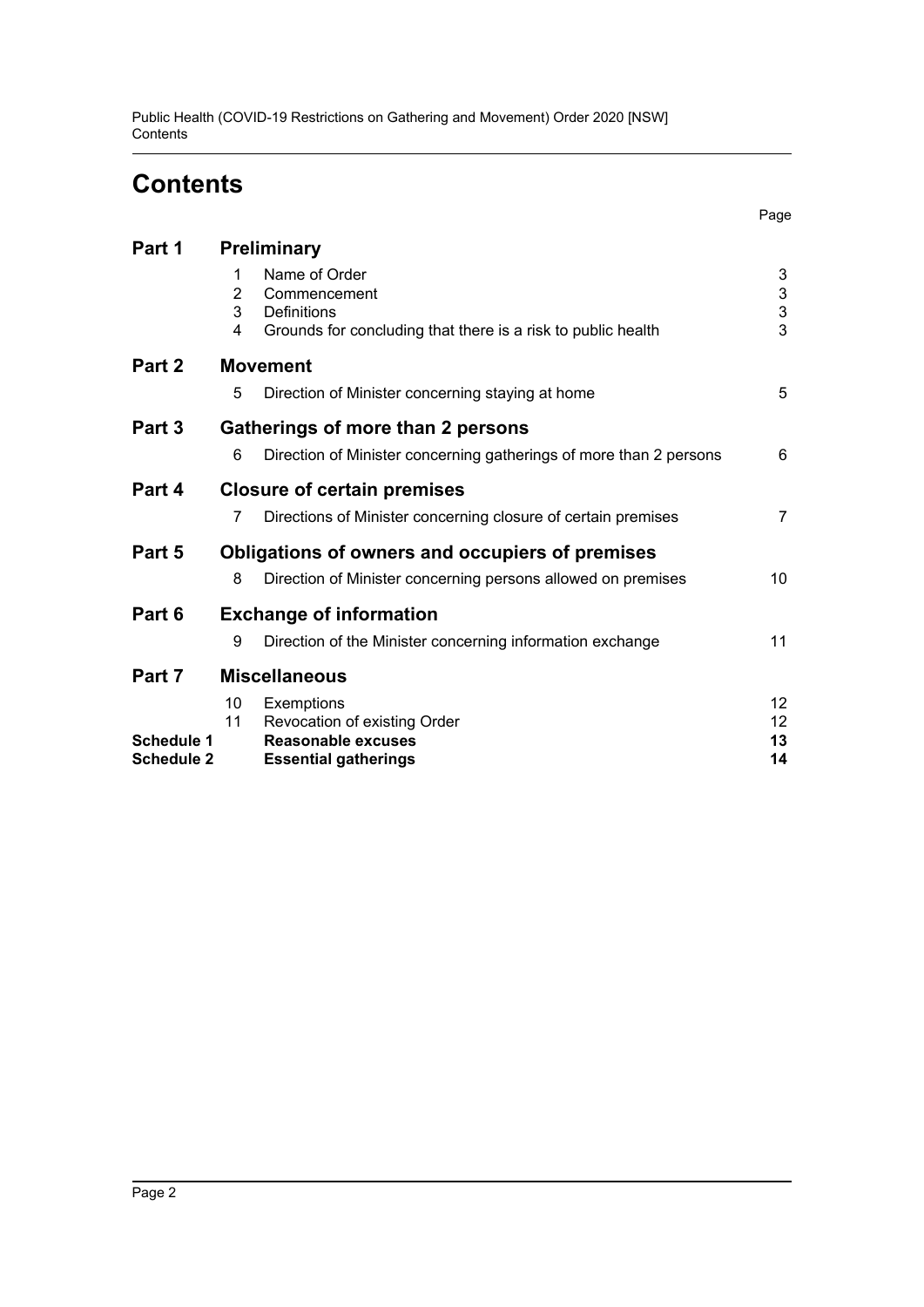Public Health (COVID-19 Restrictions on Gathering and Movement) Order 2020 [NSW] **Contents** 

# **Contents**

| Part 1                                 | Preliminary                                     |                                                                                                                     |                         |
|----------------------------------------|-------------------------------------------------|---------------------------------------------------------------------------------------------------------------------|-------------------------|
|                                        | 1<br>$\overline{2}$<br>3<br>4                   | Name of Order<br>Commencement<br><b>Definitions</b><br>Grounds for concluding that there is a risk to public health | 3<br>$\frac{3}{3}$<br>3 |
| Part 2                                 | <b>Movement</b>                                 |                                                                                                                     |                         |
|                                        | 5                                               | Direction of Minister concerning staying at home                                                                    | 5                       |
| Part 3                                 | <b>Gatherings of more than 2 persons</b>        |                                                                                                                     |                         |
|                                        | 6                                               | Direction of Minister concerning gatherings of more than 2 persons                                                  | 6                       |
| Part 4                                 | <b>Closure of certain premises</b>              |                                                                                                                     |                         |
|                                        | 7                                               | Directions of Minister concerning closure of certain premises                                                       | 7                       |
| Part 5                                 | Obligations of owners and occupiers of premises |                                                                                                                     |                         |
|                                        | 8                                               | Direction of Minister concerning persons allowed on premises                                                        | 10                      |
| Part 6                                 | <b>Exchange of information</b>                  |                                                                                                                     |                         |
|                                        | 9                                               | Direction of the Minister concerning information exchange                                                           | 11                      |
| Part 7                                 | <b>Miscellaneous</b>                            |                                                                                                                     |                         |
|                                        | 10                                              | Exemptions                                                                                                          | 12                      |
|                                        | 11                                              | Revocation of existing Order                                                                                        | 12                      |
| <b>Schedule 1</b><br><b>Schedule 2</b> |                                                 | Reasonable excuses                                                                                                  | 13<br>14                |
|                                        |                                                 | <b>Essential gatherings</b>                                                                                         |                         |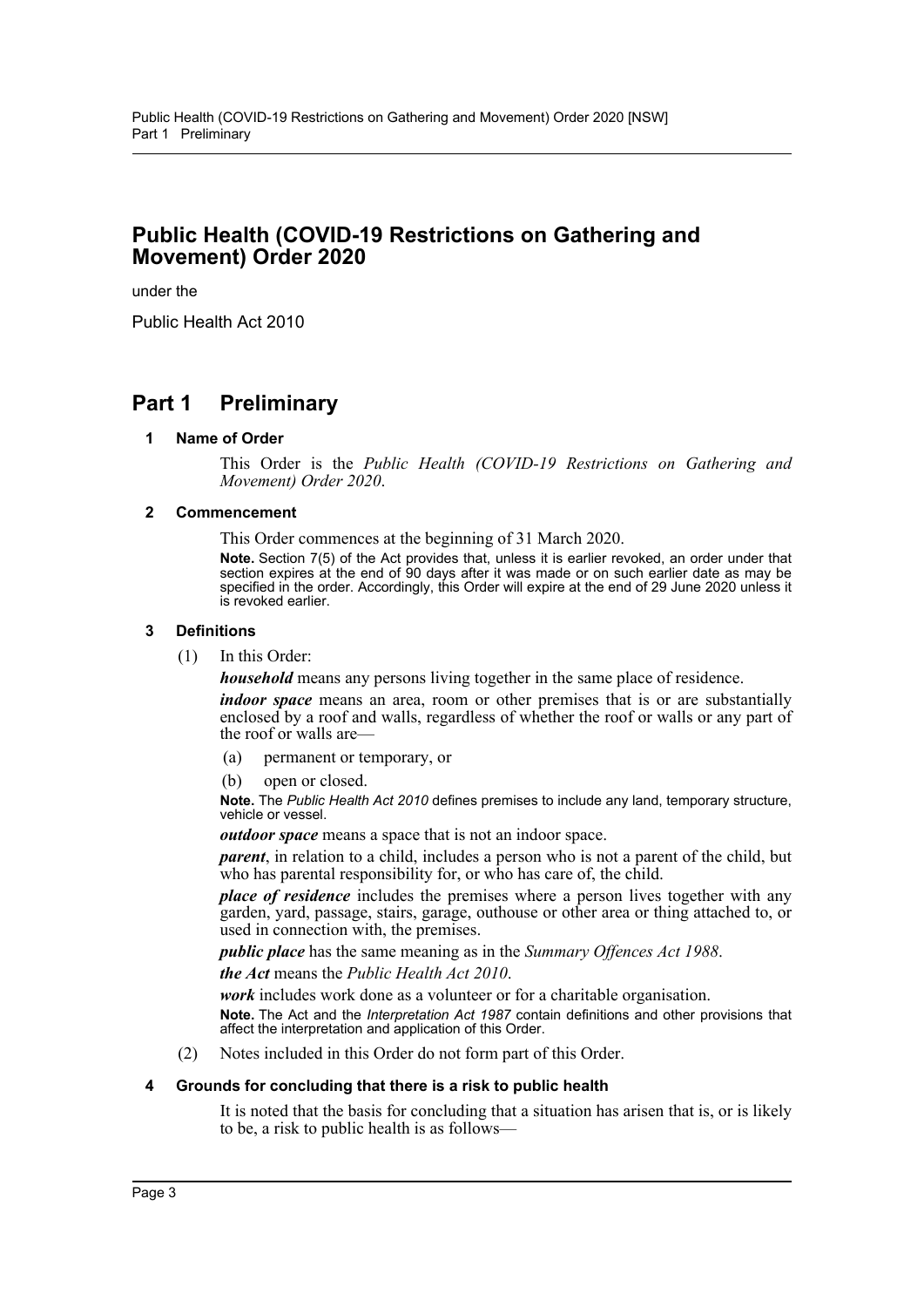#### **Public Health (COVID-19 Restrictions on Gathering and Movement) Order 2020**

under the

Public Health Act 2010

### <span id="page-3-1"></span><span id="page-3-0"></span>**Part 1 Preliminary**

#### **1 Name of Order**

This Order is the *Public Health (COVID-19 Restrictions on Gathering and Movement) Order 2020*.

#### <span id="page-3-2"></span>**2 Commencement**

This Order commences at the beginning of 31 March 2020.

**Note.** Section 7(5) of the Act provides that, unless it is earlier revoked, an order under that section expires at the end of 90 days after it was made or on such earlier date as may be specified in the order. Accordingly, this Order will expire at the end of 29 June 2020 unless it is revoked earlier.

#### <span id="page-3-3"></span>**3 Definitions**

(1) In this Order:

*household* means any persons living together in the same place of residence.

*indoor space* means an area, room or other premises that is or are substantially enclosed by a roof and walls, regardless of whether the roof or walls or any part of the roof or walls are—

- (a) permanent or temporary, or
- (b) open or closed.

**Note.** The *Public Health Act 2010* defines premises to include any land, temporary structure, vehicle or vessel.

*outdoor space* means a space that is not an indoor space.

*parent*, in relation to a child, includes a person who is not a parent of the child, but who has parental responsibility for, or who has care of, the child.

*place of residence* includes the premises where a person lives together with any garden, yard, passage, stairs, garage, outhouse or other area or thing attached to, or used in connection with, the premises.

*public place* has the same meaning as in the *Summary Offences Act 1988*.

*the Act* means the *Public Health Act 2010*.

*work* includes work done as a volunteer or for a charitable organisation.

**Note.** The Act and the *Interpretation Act 1987* contain definitions and other provisions that affect the interpretation and application of this Order.

(2) Notes included in this Order do not form part of this Order.

#### <span id="page-3-4"></span>**4 Grounds for concluding that there is a risk to public health**

It is noted that the basis for concluding that a situation has arisen that is, or is likely to be, a risk to public health is as follows—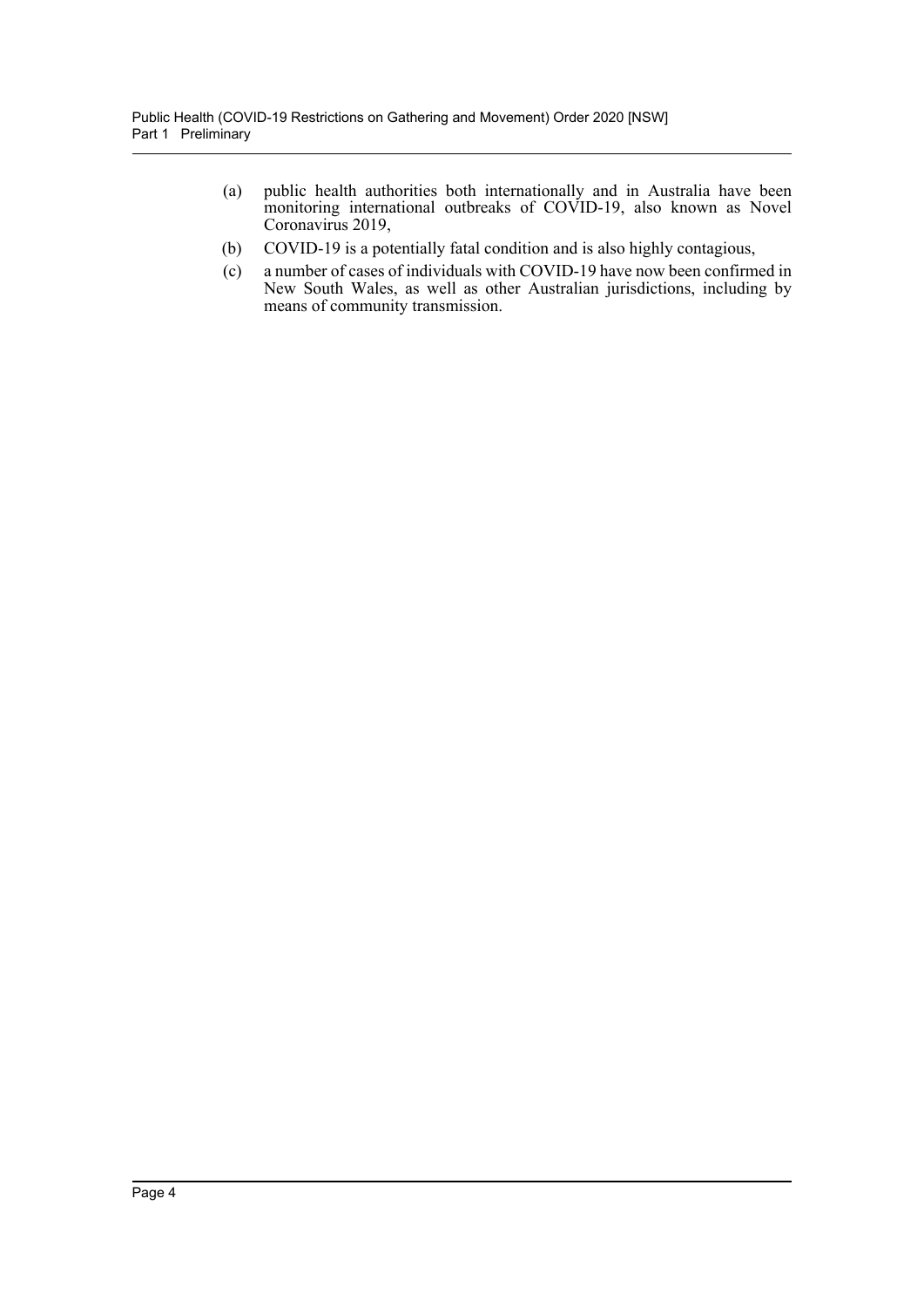- (a) public health authorities both internationally and in Australia have been monitoring international outbreaks of COVID-19, also known as Novel Coronavirus 2019,
- (b) COVID-19 is a potentially fatal condition and is also highly contagious,
- (c) a number of cases of individuals with COVID-19 have now been confirmed in New South Wales, as well as other Australian jurisdictions, including by means of community transmission.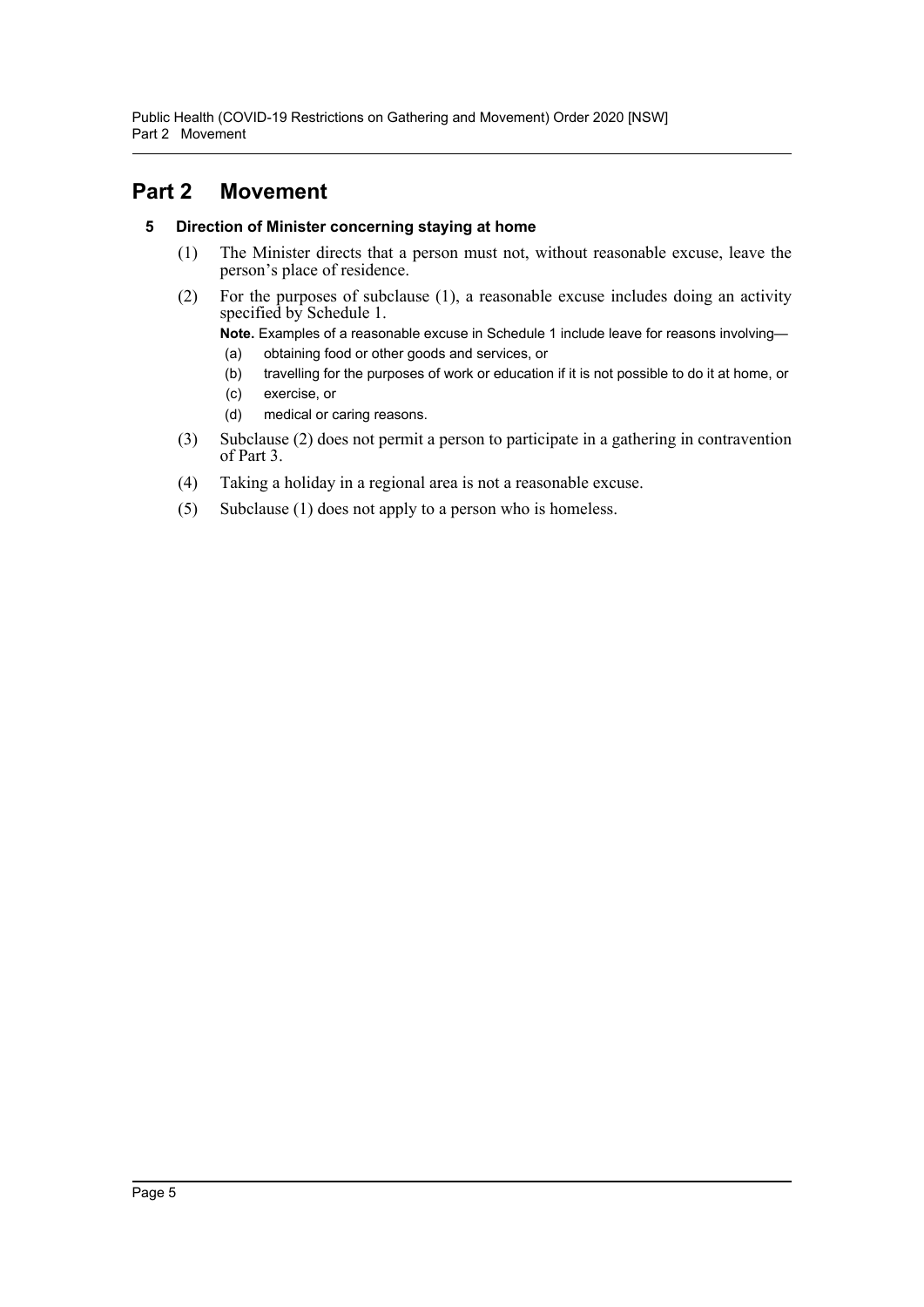Public Health (COVID-19 Restrictions on Gathering and Movement) Order 2020 [NSW] Part 2 Movement

### <span id="page-5-1"></span><span id="page-5-0"></span>**Part 2 Movement**

#### **5 Direction of Minister concerning staying at home**

- (1) The Minister directs that a person must not, without reasonable excuse, leave the person's place of residence.
- (2) For the purposes of subclause (1), a reasonable excuse includes doing an activity specified by Schedule 1.

**Note.** Examples of a reasonable excuse in Schedule 1 include leave for reasons involving—

- (a) obtaining food or other goods and services, or
- (b) travelling for the purposes of work or education if it is not possible to do it at home, or
- (c) exercise, or
- (d) medical or caring reasons.
- (3) Subclause (2) does not permit a person to participate in a gathering in contravention of Part 3.
- (4) Taking a holiday in a regional area is not a reasonable excuse.
- (5) Subclause (1) does not apply to a person who is homeless.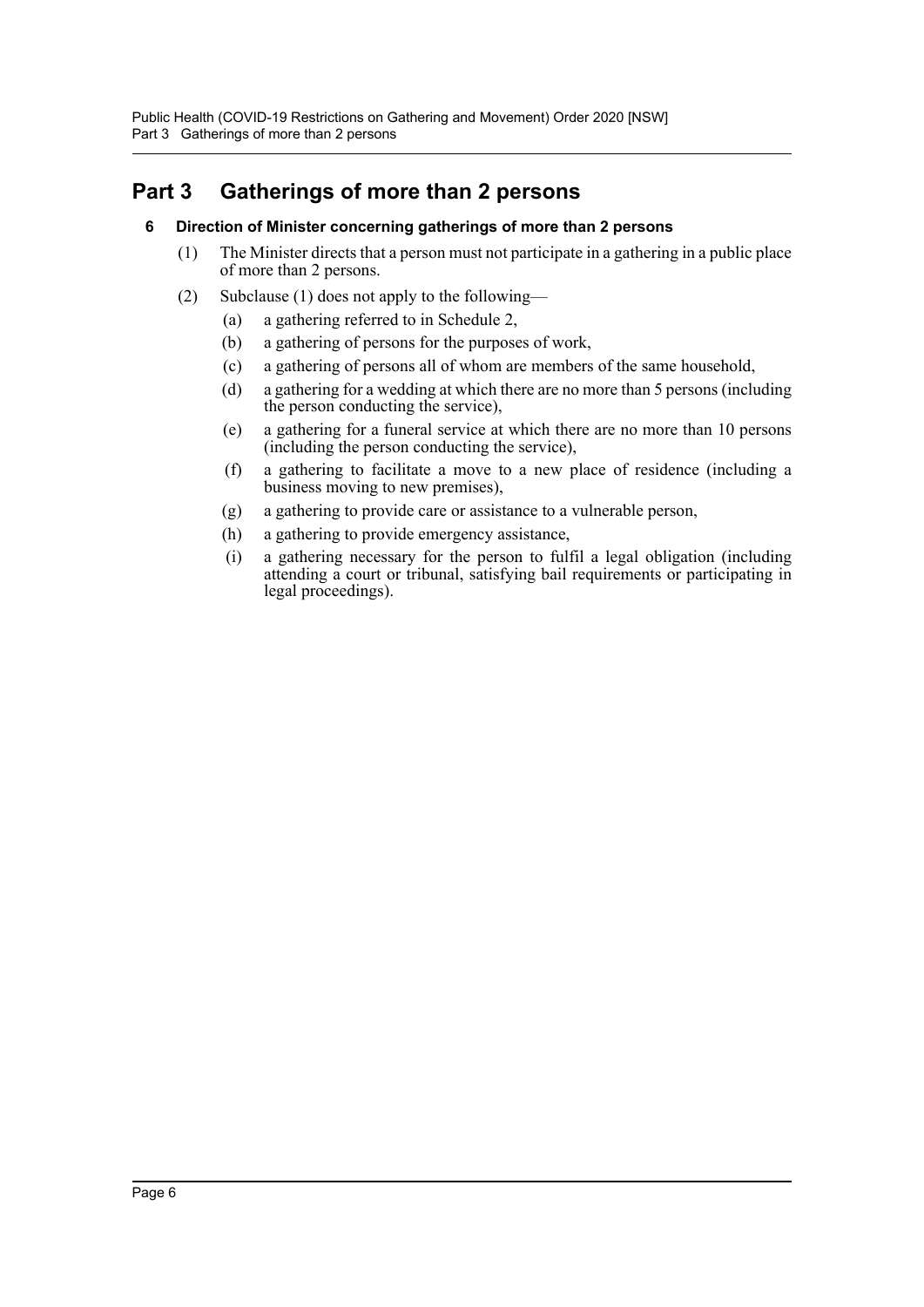Public Health (COVID-19 Restrictions on Gathering and Movement) Order 2020 [NSW] Part 3 Gatherings of more than 2 persons

### <span id="page-6-1"></span><span id="page-6-0"></span>**Part 3 Gatherings of more than 2 persons**

- **6 Direction of Minister concerning gatherings of more than 2 persons**
	- (1) The Minister directs that a person must not participate in a gathering in a public place of more than 2 persons.
	- (2) Subclause (1) does not apply to the following—
		- (a) a gathering referred to in Schedule 2,
		- (b) a gathering of persons for the purposes of work,
		- (c) a gathering of persons all of whom are members of the same household,
		- (d) a gathering for a wedding at which there are no more than 5 persons (including the person conducting the service),
		- (e) a gathering for a funeral service at which there are no more than 10 persons (including the person conducting the service),
		- (f) a gathering to facilitate a move to a new place of residence (including a business moving to new premises),
		- (g) a gathering to provide care or assistance to a vulnerable person,
		- (h) a gathering to provide emergency assistance,
		- (i) a gathering necessary for the person to fulfil a legal obligation (including attending a court or tribunal, satisfying bail requirements or participating in legal proceedings).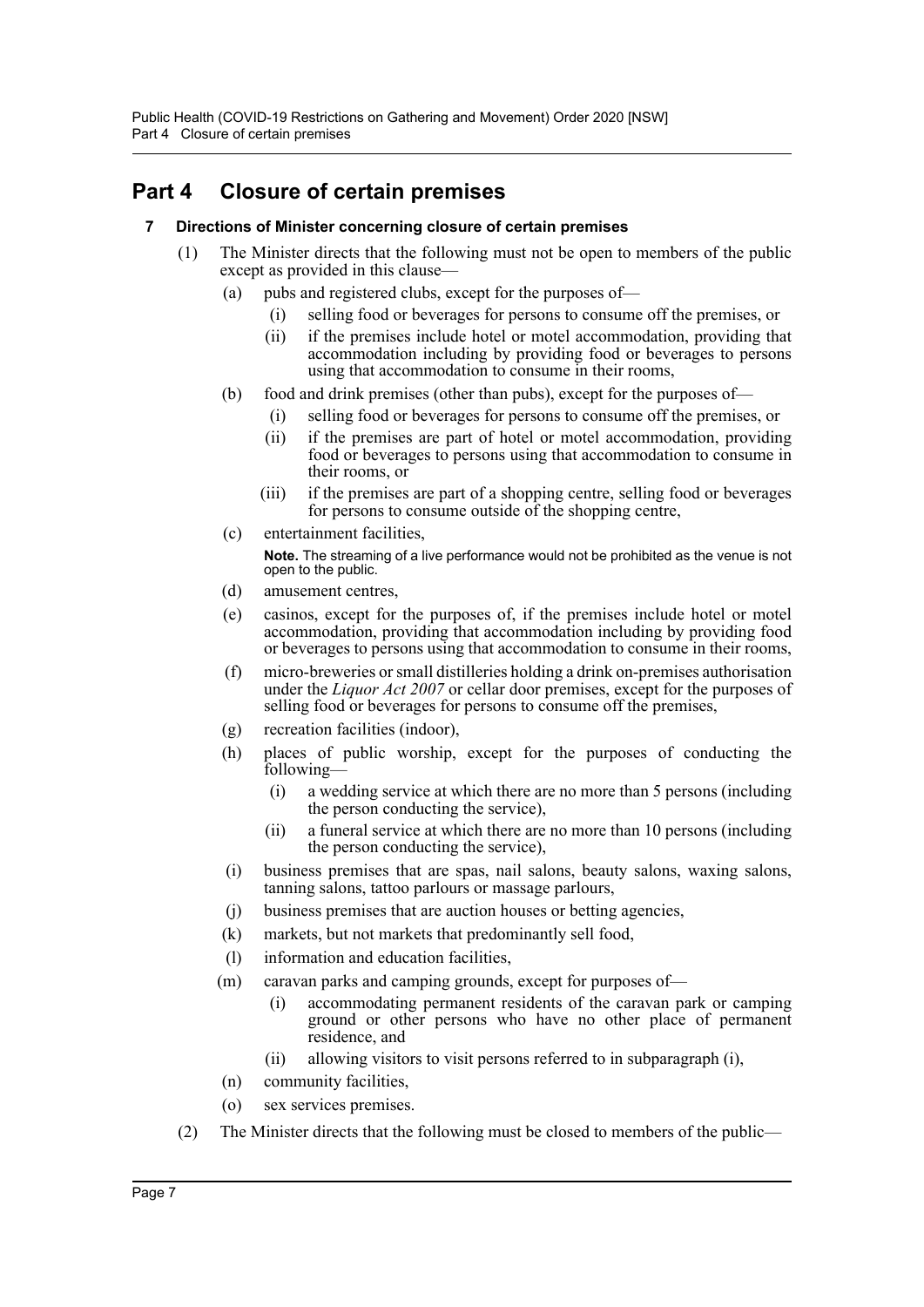# <span id="page-7-1"></span><span id="page-7-0"></span>**Part 4 Closure of certain premises**

#### **7 Directions of Minister concerning closure of certain premises**

- (1) The Minister directs that the following must not be open to members of the public except as provided in this clause—
	- (a) pubs and registered clubs, except for the purposes of—
		- (i) selling food or beverages for persons to consume off the premises, or
			- (ii) if the premises include hotel or motel accommodation, providing that accommodation including by providing food or beverages to persons using that accommodation to consume in their rooms,
	- (b) food and drink premises (other than pubs), except for the purposes of—
		- (i) selling food or beverages for persons to consume off the premises, or
		- (ii) if the premises are part of hotel or motel accommodation, providing food or beverages to persons using that accommodation to consume in their rooms, or
		- (iii) if the premises are part of a shopping centre, selling food or beverages for persons to consume outside of the shopping centre,
	- (c) entertainment facilities,

**Note.** The streaming of a live performance would not be prohibited as the venue is not open to the public.

- (d) amusement centres,
- (e) casinos, except for the purposes of, if the premises include hotel or motel accommodation, providing that accommodation including by providing food or beverages to persons using that accommodation to consume in their rooms,
- (f) micro-breweries or small distilleries holding a drink on-premises authorisation under the *Liquor Act 2007* or cellar door premises, except for the purposes of selling food or beverages for persons to consume off the premises.
- (g) recreation facilities (indoor),
- (h) places of public worship, except for the purposes of conducting the following—
	- (i) a wedding service at which there are no more than 5 persons (including the person conducting the service),
	- (ii) a funeral service at which there are no more than 10 persons (including the person conducting the service),
- (i) business premises that are spas, nail salons, beauty salons, waxing salons, tanning salons, tattoo parlours or massage parlours,
- (j) business premises that are auction houses or betting agencies,
- (k) markets, but not markets that predominantly sell food,
- (l) information and education facilities,
- (m) caravan parks and camping grounds, except for purposes of—
	- (i) accommodating permanent residents of the caravan park or camping ground or other persons who have no other place of permanent residence, and
	- (ii) allowing visitors to visit persons referred to in subparagraph (i),
- (n) community facilities,
- (o) sex services premises.
- (2) The Minister directs that the following must be closed to members of the public—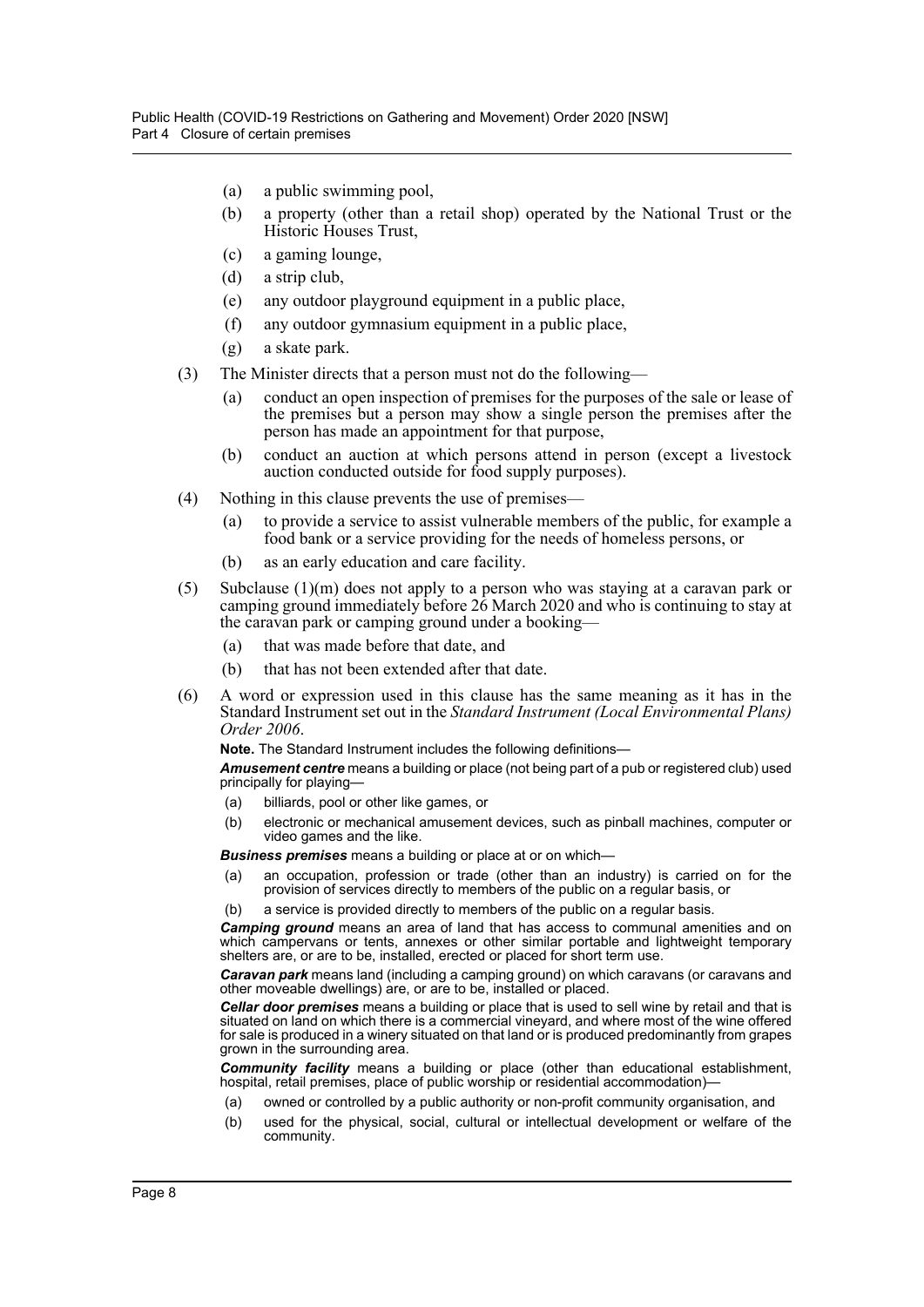- (a) a public swimming pool,
- (b) a property (other than a retail shop) operated by the National Trust or the Historic Houses Trust,
- (c) a gaming lounge,
- (d) a strip club,
- (e) any outdoor playground equipment in a public place,
- (f) any outdoor gymnasium equipment in a public place,
- (g) a skate park.
- (3) The Minister directs that a person must not do the following—
	- (a) conduct an open inspection of premises for the purposes of the sale or lease of the premises but a person may show a single person the premises after the person has made an appointment for that purpose,
	- (b) conduct an auction at which persons attend in person (except a livestock auction conducted outside for food supply purposes).
- (4) Nothing in this clause prevents the use of premises—
	- (a) to provide a service to assist vulnerable members of the public, for example a food bank or a service providing for the needs of homeless persons, or
	- (b) as an early education and care facility.
- (5) Subclause (1)(m) does not apply to a person who was staying at a caravan park or camping ground immediately before 26 March 2020 and who is continuing to stay at the caravan park or camping ground under a booking—
	- (a) that was made before that date, and
	- (b) that has not been extended after that date.
- (6) A word or expression used in this clause has the same meaning as it has in the Standard Instrument set out in the *Standard Instrument (Local Environmental Plans) Order 2006*.

**Note.** The Standard Instrument includes the following definitions—

*Amusement centre* means a building or place (not being part of a pub or registered club) used principally for playing—

- (a) billiards, pool or other like games, or
- (b) electronic or mechanical amusement devices, such as pinball machines, computer or video games and the like.

*Business premises* means a building or place at or on which—

- (a) an occupation, profession or trade (other than an industry) is carried on for the provision of services directly to members of the public on a regular basis, or
- (b) a service is provided directly to members of the public on a regular basis.

*Camping ground* means an area of land that has access to communal amenities and on which campervans or tents, annexes or other similar portable and lightweight temporary shelters are, or are to be, installed, erected or placed for short term use.

*Caravan park* means land (including a camping ground) on which caravans (or caravans and other moveable dwellings) are, or are to be, installed or placed.

*Cellar door premises* means a building or place that is used to sell wine by retail and that is situated on land on which there is a commercial vineyard, and where most of the wine offered for sale is produced in a winery situated on that land or is produced predominantly from grapes grown in the surrounding area.

*Community facility* means a building or place (other than educational establishment, hospital, retail premises, place of public worship or residential accommodation)-

- (a) owned or controlled by a public authority or non-profit community organisation, and
- (b) used for the physical, social, cultural or intellectual development or welfare of the community.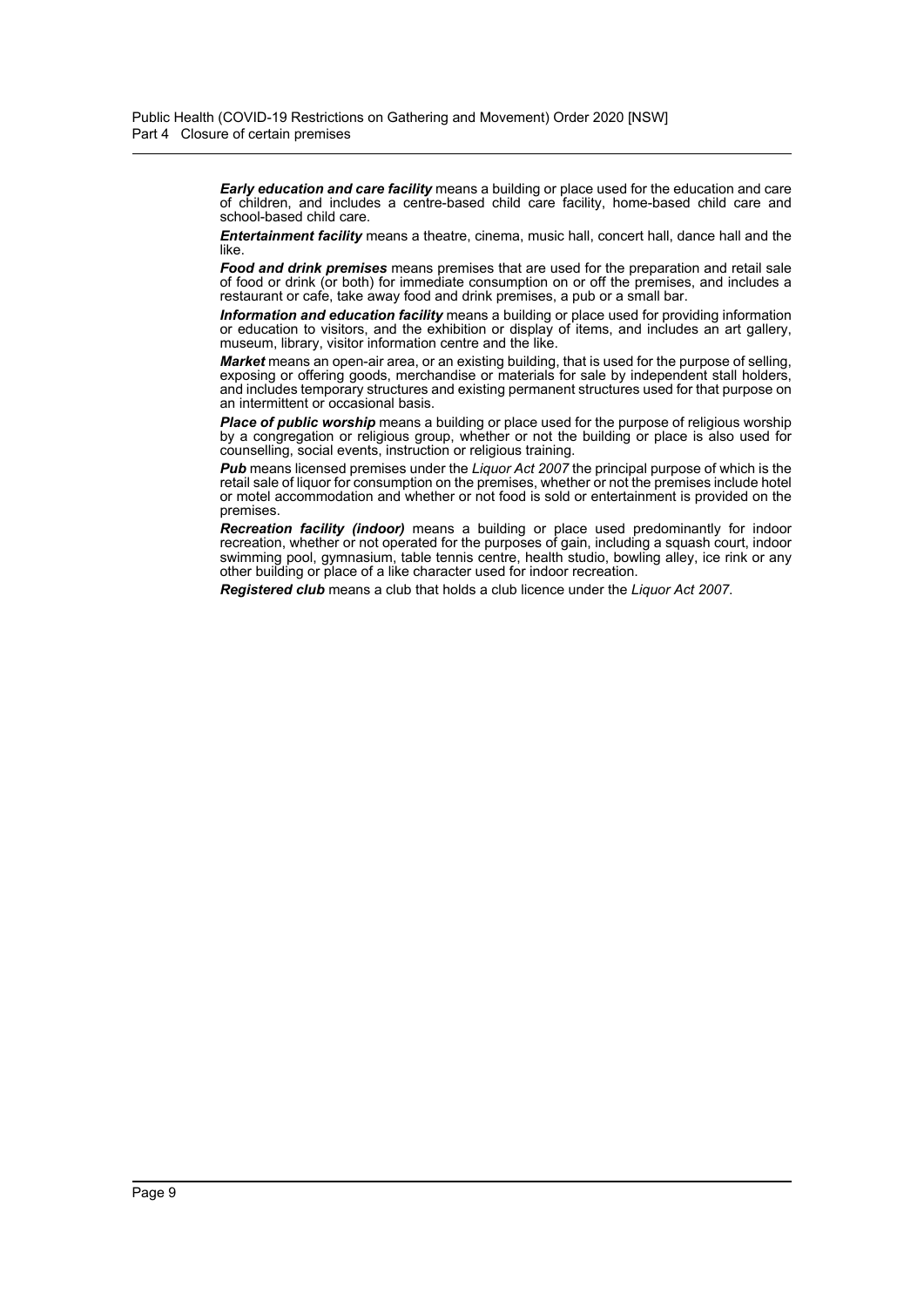*Early education and care facility* means a building or place used for the education and care of children, and includes a centre-based child care facility, home-based child care and school-based child care.

*Entertainment facility* means a theatre, cinema, music hall, concert hall, dance hall and the like.

*Food and drink premises* means premises that are used for the preparation and retail sale of food or drink (or both) for immediate consumption on or off the premises, and includes a restaurant or cafe, take away food and drink premises, a pub or a small bar.

*Information and education facility* means a building or place used for providing information or education to visitors, and the exhibition or display of items, and includes an art gallery, museum, library, visitor information centre and the like.

*Market* means an open-air area, or an existing building, that is used for the purpose of selling, exposing or offering goods, merchandise or materials for sale by independent stall holders, and includes temporary structures and existing permanent structures used for that purpose on an intermittent or occasional basis.

**Place of public worship** means a building or place used for the purpose of religious worship by a congregation or religious group, whether or not the building or place is also used for counselling, social events, instruction or religious training.

*Pub* means licensed premises under the *Liquor Act 2007* the principal purpose of which is the retail sale of liquor for consumption on the premises, whether or not the premises include hotel or motel accommodation and whether or not food is sold or entertainment is provided on the premises.

*Recreation facility (indoor)* means a building or place used predominantly for indoor recreation, whether or not operated for the purposes of gain, including a squash court, indoor swimming pool, gymnasium, table tennis centre, health studio, bowling alley, ice rink or any other building or place of a like character used for indoor recreation.

*Registered club* means a club that holds a club licence under the *Liquor Act 2007*.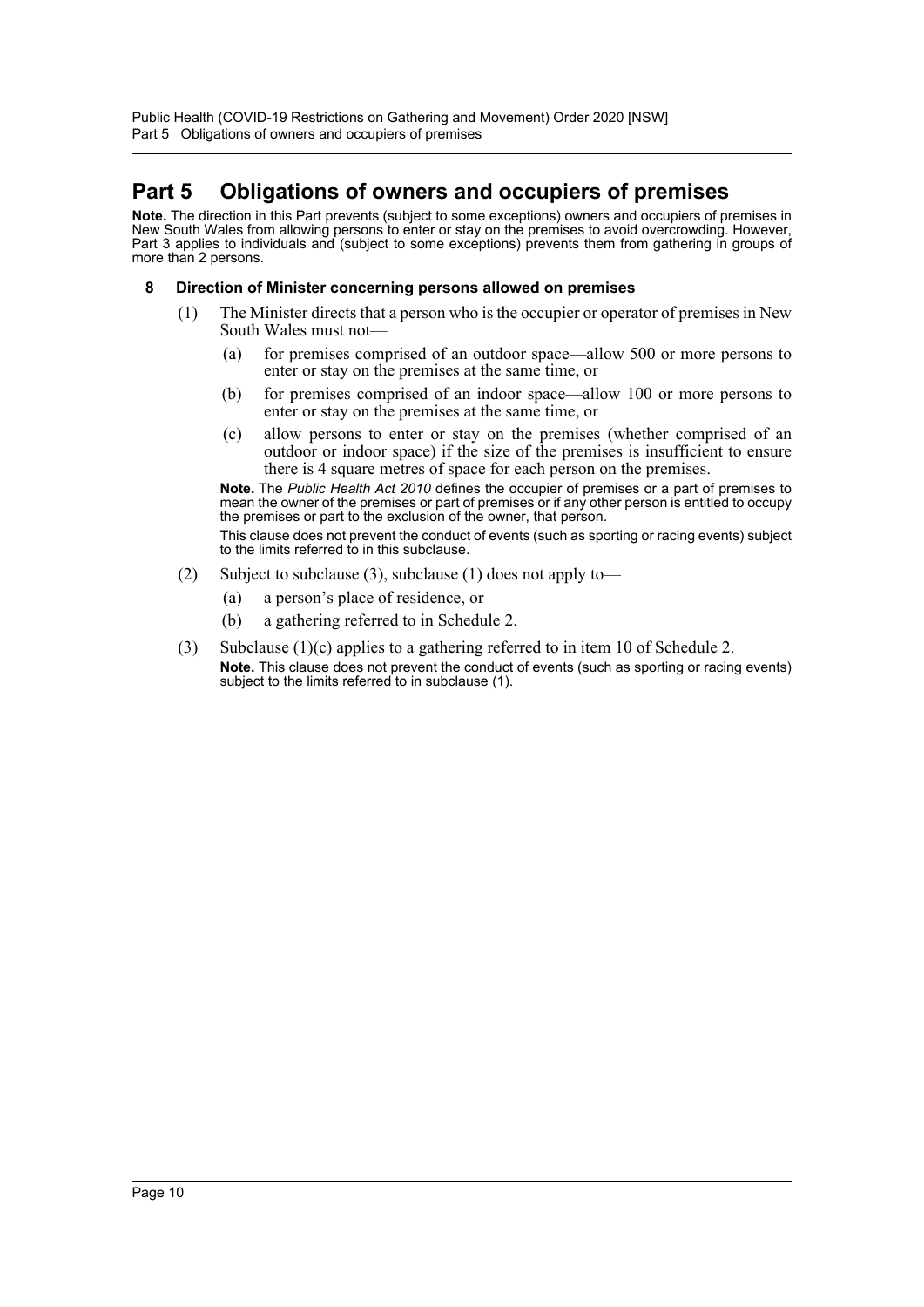# <span id="page-10-0"></span>**Part 5 Obligations of owners and occupiers of premises**

**Note.** The direction in this Part prevents (subject to some exceptions) owners and occupiers of premises in New South Wales from allowing persons to enter or stay on the premises to avoid overcrowding. However, Part 3 applies to individuals and (subject to some exceptions) prevents them from gathering in groups of more than 2 persons.

#### <span id="page-10-1"></span>**8 Direction of Minister concerning persons allowed on premises**

- (1) The Minister directs that a person who is the occupier or operator of premises in New South Wales must not—
	- (a) for premises comprised of an outdoor space—allow 500 or more persons to enter or stay on the premises at the same time, or
	- (b) for premises comprised of an indoor space—allow 100 or more persons to enter or stay on the premises at the same time, or
	- (c) allow persons to enter or stay on the premises (whether comprised of an outdoor or indoor space) if the size of the premises is insufficient to ensure there is 4 square metres of space for each person on the premises.

**Note.** The *Public Health Act 2010* defines the occupier of premises or a part of premises to mean the owner of the premises or part of premises or if any other person is entitled to occupy the premises or part to the exclusion of the owner, that person.

This clause does not prevent the conduct of events (such as sporting or racing events) subject to the limits referred to in this subclause.

- (2) Subject to subclause (3), subclause (1) does not apply to—
	- (a) a person's place of residence, or
	- (b) a gathering referred to in Schedule 2.
- (3) Subclause  $(1)(c)$  applies to a gathering referred to in item 10 of Schedule 2. **Note.** This clause does not prevent the conduct of events (such as sporting or racing events) subject to the limits referred to in subclause (1).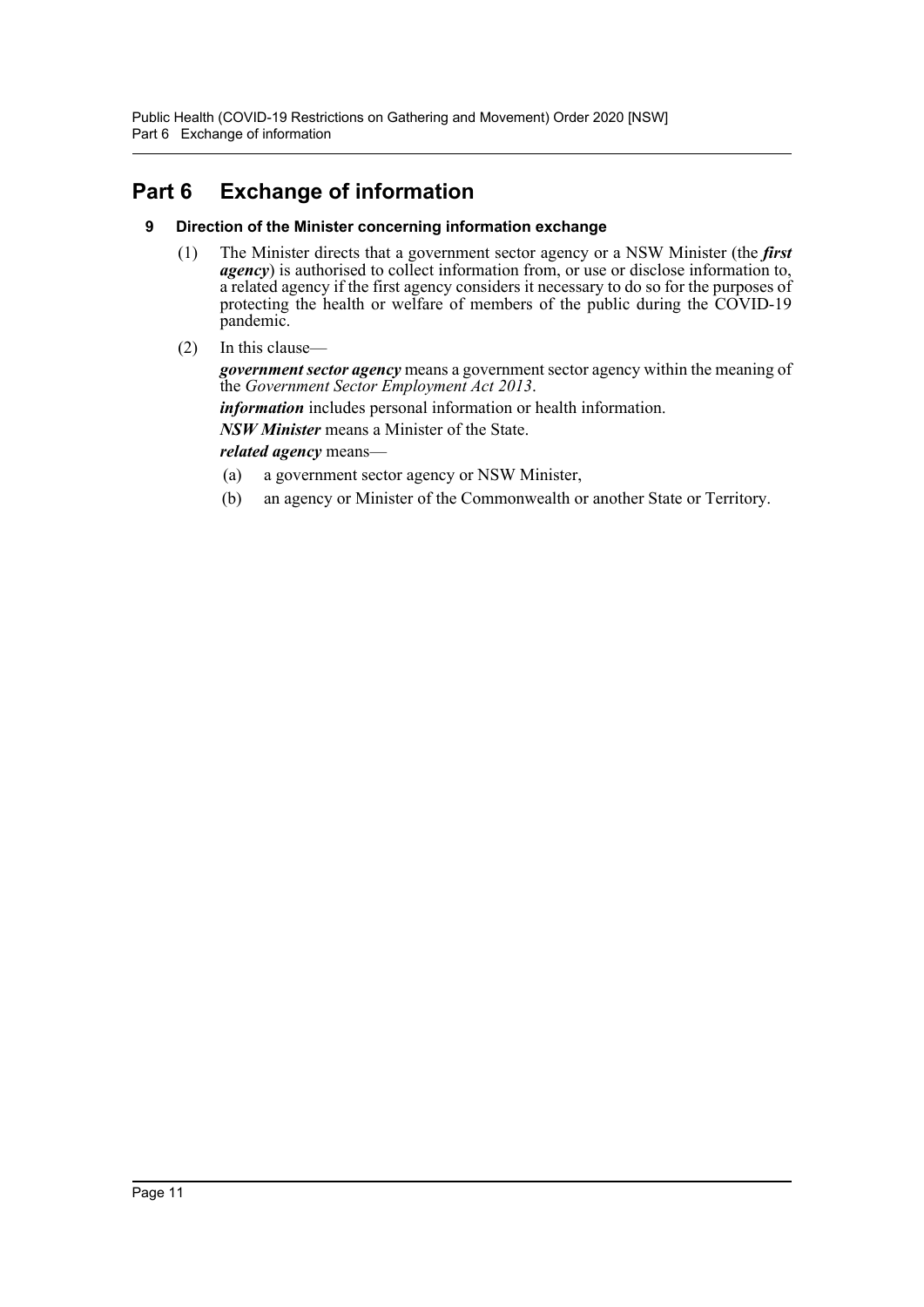Public Health (COVID-19 Restrictions on Gathering and Movement) Order 2020 [NSW] Part 6 Exchange of information

# <span id="page-11-1"></span><span id="page-11-0"></span>**Part 6 Exchange of information**

#### **9 Direction of the Minister concerning information exchange**

- (1) The Minister directs that a government sector agency or a NSW Minister (the *first agency*) is authorised to collect information from, or use or disclose information to, a related agency if the first agency considers it necessary to do so for the purposes of protecting the health or welfare of members of the public during the COVID-19 pandemic.
- (2) In this clause—

*government sector agency* means a government sector agency within the meaning of the *Government Sector Employment Act 2013*.

*information* includes personal information or health information.

*NSW Minister* means a Minister of the State.

*related agency* means—

- (a) a government sector agency or NSW Minister,
- (b) an agency or Minister of the Commonwealth or another State or Territory.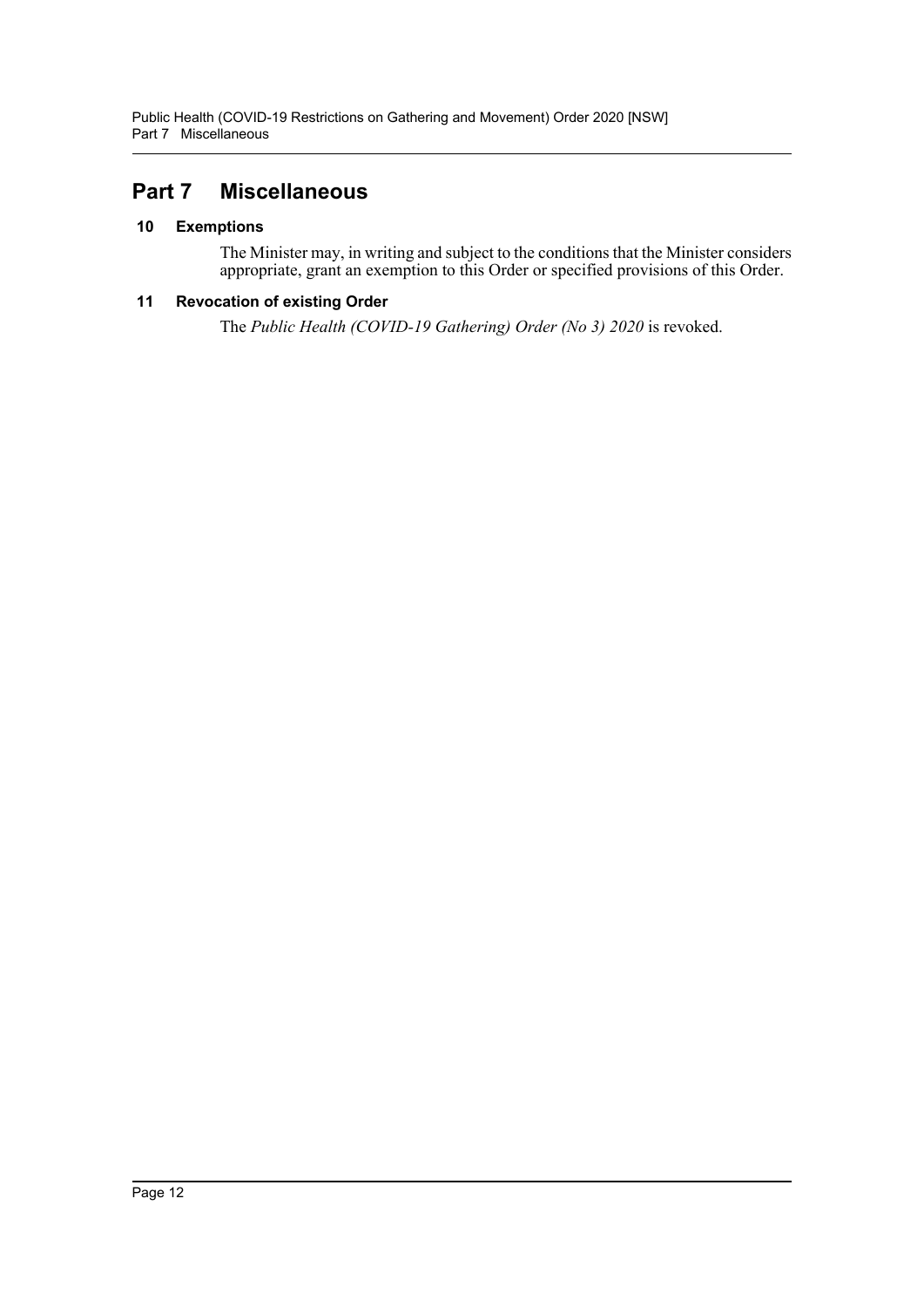# <span id="page-12-0"></span>**Part 7 Miscellaneous**

#### <span id="page-12-1"></span>**10 Exemptions**

The Minister may, in writing and subject to the conditions that the Minister considers appropriate, grant an exemption to this Order or specified provisions of this Order.

#### <span id="page-12-2"></span>**11 Revocation of existing Order**

The *Public Health (COVID-19 Gathering) Order (No 3) 2020* is revoked.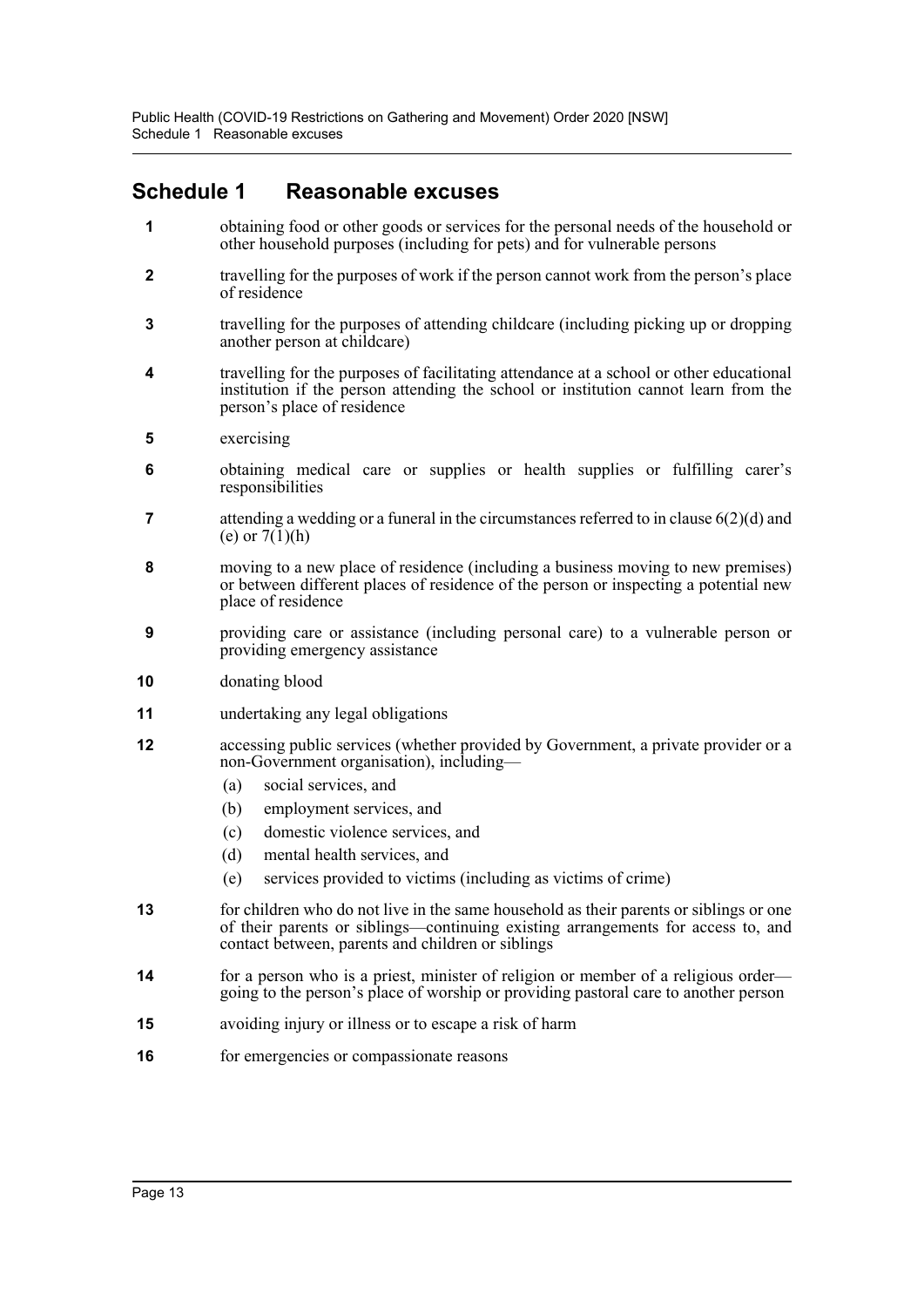## <span id="page-13-0"></span>**Schedule 1 Reasonable excuses**

- **1** obtaining food or other goods or services for the personal needs of the household or other household purposes (including for pets) and for vulnerable persons
- **2** travelling for the purposes of work if the person cannot work from the person's place of residence
- **3** travelling for the purposes of attending childcare (including picking up or dropping another person at childcare)
- **4** travelling for the purposes of facilitating attendance at a school or other educational institution if the person attending the school or institution cannot learn from the person's place of residence
- **5** exercising
- **6** obtaining medical care or supplies or health supplies or fulfilling carer's responsibilities
- **7** attending a wedding or a funeral in the circumstances referred to in clause  $6(2)(d)$  and (e) or  $7(1)(h)$
- **8** moving to a new place of residence (including a business moving to new premises) or between different places of residence of the person or inspecting a potential new place of residence
- **9** providing care or assistance (including personal care) to a vulnerable person or providing emergency assistance
- **10** donating blood
- **11** undertaking any legal obligations
- **12** accessing public services (whether provided by Government, a private provider or a non-Government organisation), including—
	- (a) social services, and
	- (b) employment services, and
	- (c) domestic violence services, and
	- (d) mental health services, and
	- (e) services provided to victims (including as victims of crime)
- **13** for children who do not live in the same household as their parents or siblings or one of their parents or siblings—continuing existing arrangements for access to, and contact between, parents and children or siblings
- **14** for a person who is a priest, minister of religion or member of a religious order going to the person's place of worship or providing pastoral care to another person
- **15** avoiding injury or illness or to escape a risk of harm
- **16** for emergencies or compassionate reasons